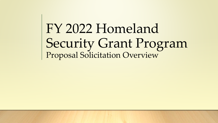FY 2022 Homeland Security Grant Program Proposal Solicitation Overview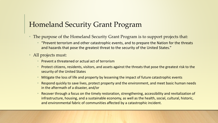#### Homeland Security Grant Program

- The purpose of the Homeland Security Grant Program is to support projects that:
	- "Prevent terrorism and other catastrophic events, and to prepare the Nation for the threats and hazards that pose the greatest threat to the security of the United States."
- All projects must:
	- Prevent a threatened or actual act of terrorism
	- Protect citizens, residents, visitors, and assets against the threats that pose the greatest risk to the security of the United States
	- Mitigate the loss of life and property by lessening the impact of future catastrophic events
	- Respond quickly to save lives, protect property and the environment, and meet basic human needs in the aftermath of a disaster, and/or
	- Recover through a focus on the timely restoration, strengthening, accessibility and revitalization of infrastructure, housing, and a sustainable economy, as well as the health, social, cultural, historic, and environmental fabric of communities affected by a catastrophic incident.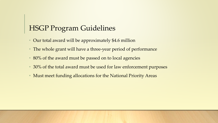## HSGP Program Guidelines

- Our total award will be approximately \$4.6 million
- The whole grant will have a three-year period of performance
- 80% of the award must be passed on to local agencies
- 30% of the total award must be used for law enforcement purposes
- Must meet funding allocations for the National Priority Areas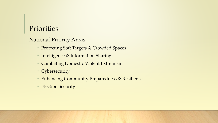#### Priorities

#### National Priority Areas

- **Protecting Soft Targets & Crowded Spaces**
- Intelligence & Information Sharing
- Combating Domestic Violent Extremism
- Cybersecurity
- Enhancing Community Preparedness & Resilience
- Election Security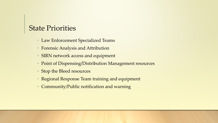#### State Priorities

- Law Enforcement Specialized Teams
- Forensic Analysis and Attribution
- SIRN network access and equipment
- Point of Dispensing/Distribution Management resources
- Stop the Bleed resources
- Regional Response Team training and equipment
- Community/Public notification and warning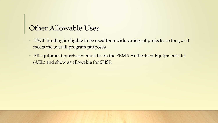#### Other Allowable Uses

- HSGP funding is eligible to be used for a wide variety of projects, so long as it meets the overall program purposes.
- All equipment purchased must be on the FEMA Authorized Equipment List (AEL) and show as allowable for SHSP.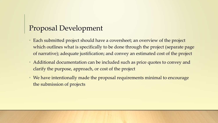## Proposal Development

- Each submitted project should have a coversheet; an overview of the project which outlines what is specifically to be done through the project (separate page of narrative); adequate justification; and convey an estimated cost of the project
- Additional documentation can be included such as price quotes to convey and clarify the purpose, approach, or cost of the project
- We have intentionally made the proposal requirements minimal to encourage the submission of projects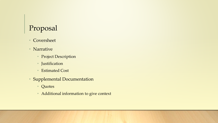# Proposal

- **Coversheet**
- Narrative
	- Project Description
	- Justification
	- Estimated Cost
- Supplemental Documentation
	- Quotes
	- Additional information to give context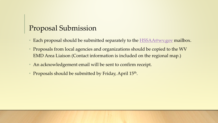## Proposal Submission

- Each proposal should be submitted separately to the **[HSSAA@wv.gov](mailto:HSSAA@wv.gov)** mailbox.
- Proposals from local agencies and organizations should be copied to the WV EMD Area Liaison (Contact information is included on the regional map.)
- An acknowledgement email will be sent to confirm receipt.
- Proposals should be submitted by Friday, April 15<sup>th</sup>.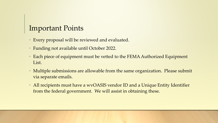### Important Points

- Every proposal will be reviewed and evaluated.
- Funding not available until October 2022.
- Each piece of equipment must be vetted to the FEMA Authorized Equipment List.
- Multiple submissions are allowable from the same organization. Please submit via separate emails.
- All recipients must have a wvOASIS vendor ID and a Unique Entity Identifier from the federal government. We will assist in obtaining these.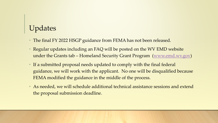# Updates

- The final FY 2022 HSGP guidance from FEMA has not been released.
- Regular updates including an FAQ will be posted on the WV EMD website under the Grants tab – Homeland Security Grant Program ([www.emd.wv.gov\)](http://www.emd.wv.gov/)
- If a submitted proposal needs updated to comply with the final federal guidance, we will work with the applicant. No one will be disqualified because FEMA modified the guidance in the middle of the process.
- As needed, we will schedule additional technical assistance sessions and extend the proposal submission deadline.